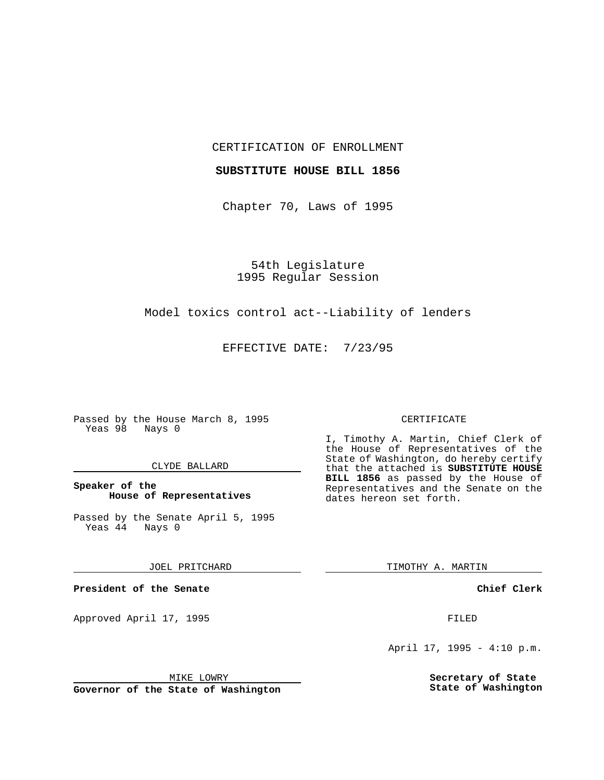## CERTIFICATION OF ENROLLMENT

### **SUBSTITUTE HOUSE BILL 1856**

Chapter 70, Laws of 1995

54th Legislature 1995 Regular Session

## Model toxics control act--Liability of lenders

EFFECTIVE DATE: 7/23/95

Passed by the House March 8, 1995 Yeas 98 Nays 0

## CLYDE BALLARD

## **Speaker of the House of Representatives**

Passed by the Senate April 5, 1995<br>Yeas 44 Nays 0  $Yeas$  44

### JOEL PRITCHARD

**President of the Senate**

Approved April 17, 1995 FILED

# MIKE LOWRY

**Governor of the State of Washington**

#### CERTIFICATE

I, Timothy A. Martin, Chief Clerk of the House of Representatives of the State of Washington, do hereby certify that the attached is **SUBSTITUTE HOUSE BILL 1856** as passed by the House of Representatives and the Senate on the dates hereon set forth.

TIMOTHY A. MARTIN

## **Chief Clerk**

April 17, 1995 - 4:10 p.m.

**Secretary of State State of Washington**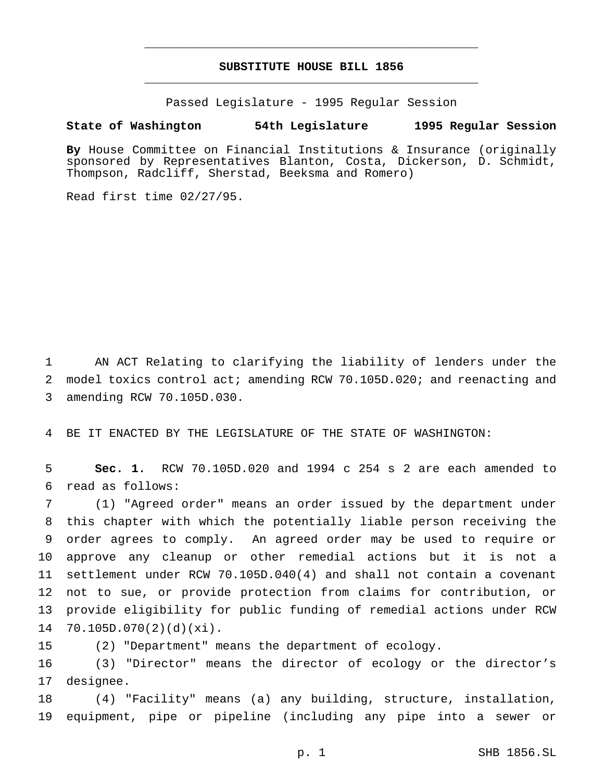# **SUBSTITUTE HOUSE BILL 1856** \_\_\_\_\_\_\_\_\_\_\_\_\_\_\_\_\_\_\_\_\_\_\_\_\_\_\_\_\_\_\_\_\_\_\_\_\_\_\_\_\_\_\_\_\_\_\_

\_\_\_\_\_\_\_\_\_\_\_\_\_\_\_\_\_\_\_\_\_\_\_\_\_\_\_\_\_\_\_\_\_\_\_\_\_\_\_\_\_\_\_\_\_\_\_

Passed Legislature - 1995 Regular Session

## **State of Washington 54th Legislature 1995 Regular Session**

**By** House Committee on Financial Institutions & Insurance (originally sponsored by Representatives Blanton, Costa, Dickerson, D. Schmidt, Thompson, Radcliff, Sherstad, Beeksma and Romero)

Read first time 02/27/95.

 AN ACT Relating to clarifying the liability of lenders under the model toxics control act; amending RCW 70.105D.020; and reenacting and amending RCW 70.105D.030.

BE IT ENACTED BY THE LEGISLATURE OF THE STATE OF WASHINGTON:

 **Sec. 1.** RCW 70.105D.020 and 1994 c 254 s 2 are each amended to read as follows:

 (1) "Agreed order" means an order issued by the department under this chapter with which the potentially liable person receiving the order agrees to comply. An agreed order may be used to require or approve any cleanup or other remedial actions but it is not a settlement under RCW 70.105D.040(4) and shall not contain a covenant not to sue, or provide protection from claims for contribution, or provide eligibility for public funding of remedial actions under RCW 70.105D.070(2)(d)(xi).

(2) "Department" means the department of ecology.

 (3) "Director" means the director of ecology or the director's designee.

 (4) "Facility" means (a) any building, structure, installation, equipment, pipe or pipeline (including any pipe into a sewer or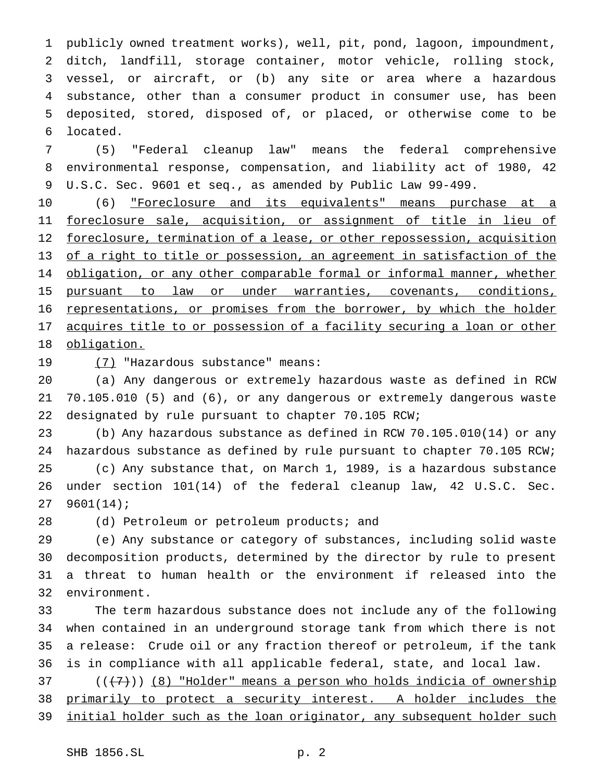publicly owned treatment works), well, pit, pond, lagoon, impoundment, ditch, landfill, storage container, motor vehicle, rolling stock, vessel, or aircraft, or (b) any site or area where a hazardous substance, other than a consumer product in consumer use, has been deposited, stored, disposed of, or placed, or otherwise come to be located.

 (5) "Federal cleanup law" means the federal comprehensive environmental response, compensation, and liability act of 1980, 42 U.S.C. Sec. 9601 et seq., as amended by Public Law 99-499.

 (6) "Foreclosure and its equivalents" means purchase at a foreclosure sale, acquisition, or assignment of title in lieu of 12 foreclosure, termination of a lease, or other repossession, acquisition 13 of a right to title or possession, an agreement in satisfaction of the 14 obligation, or any other comparable formal or informal manner, whether pursuant to law or under warranties, covenants, conditions, representations, or promises from the borrower, by which the holder 17 acquires title to or possession of a facility securing a loan or other obligation.

19 (7) "Hazardous substance" means:

 (a) Any dangerous or extremely hazardous waste as defined in RCW 70.105.010 (5) and (6), or any dangerous or extremely dangerous waste designated by rule pursuant to chapter 70.105 RCW;

 (b) Any hazardous substance as defined in RCW 70.105.010(14) or any hazardous substance as defined by rule pursuant to chapter 70.105 RCW; (c) Any substance that, on March 1, 1989, is a hazardous substance under section 101(14) of the federal cleanup law, 42 U.S.C. Sec. 9601(14);

(d) Petroleum or petroleum products; and

 (e) Any substance or category of substances, including solid waste decomposition products, determined by the director by rule to present a threat to human health or the environment if released into the environment.

 The term hazardous substance does not include any of the following when contained in an underground storage tank from which there is not a release: Crude oil or any fraction thereof or petroleum, if the tank is in compliance with all applicable federal, state, and local law.

 ( $(\overline{7})$ ) (8) "Holder" means a person who holds indicia of ownership primarily to protect a security interest. A holder includes the 39 initial holder such as the loan originator, any subsequent holder such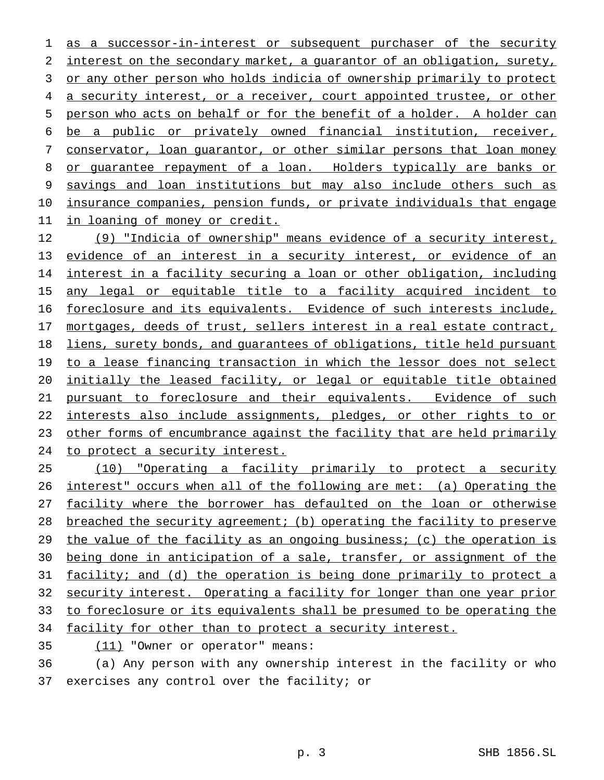1 as a successor-in-interest or subsequent purchaser of the security 2 interest on the secondary market, a quarantor of an obligation, surety, 3 or any other person who holds indicia of ownership primarily to protect 4 a security interest, or a receiver, court appointed trustee, or other person who acts on behalf or for the benefit of a holder. A holder can be a public or privately owned financial institution, receiver, conservator, loan guarantor, or other similar persons that loan money 8 or guarantee repayment of a loan. Holders typically are banks or savings and loan institutions but may also include others such as insurance companies, pension funds, or private individuals that engage in loaning of money or credit.

12 (9) "Indicia of ownership" means evidence of a security interest, 13 evidence of an interest in a security interest, or evidence of an interest in a facility securing a loan or other obligation, including 15 any legal or equitable title to a facility acquired incident to foreclosure and its equivalents. Evidence of such interests include, mortgages, deeds of trust, sellers interest in a real estate contract, liens, surety bonds, and guarantees of obligations, title held pursuant 19 to a lease financing transaction in which the lessor does not select initially the leased facility, or legal or equitable title obtained pursuant to foreclosure and their equivalents. Evidence of such interests also include assignments, pledges, or other rights to or other forms of encumbrance against the facility that are held primarily to protect a security interest.

 (10) "Operating a facility primarily to protect a security interest" occurs when all of the following are met: (a) Operating the facility where the borrower has defaulted on the loan or otherwise breached the security agreement; (b) operating the facility to preserve 29 the value of the facility as an ongoing business; (c) the operation is being done in anticipation of a sale, transfer, or assignment of the facility; and (d) the operation is being done primarily to protect a 32 security interest. Operating a facility for longer than one year prior to foreclosure or its equivalents shall be presumed to be operating the 34 facility for other than to protect a security interest.

(11) "Owner or operator" means:

 (a) Any person with any ownership interest in the facility or who exercises any control over the facility; or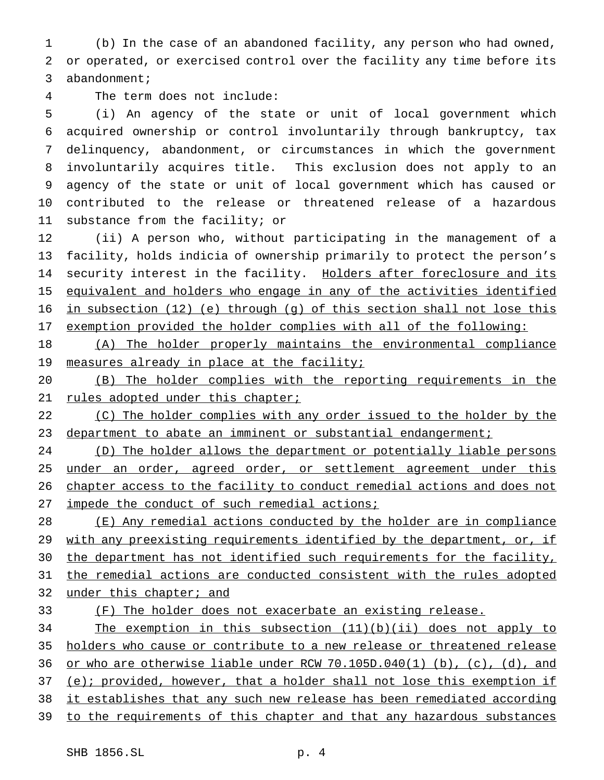(b) In the case of an abandoned facility, any person who had owned, or operated, or exercised control over the facility any time before its abandonment;

The term does not include:

 (i) An agency of the state or unit of local government which acquired ownership or control involuntarily through bankruptcy, tax delinquency, abandonment, or circumstances in which the government involuntarily acquires title. This exclusion does not apply to an agency of the state or unit of local government which has caused or contributed to the release or threatened release of a hazardous substance from the facility; or

 (ii) A person who, without participating in the management of a facility, holds indicia of ownership primarily to protect the person's 14 security interest in the facility. Holders after foreclosure and its equivalent and holders who engage in any of the activities identified in subsection (12) (e) through (g) of this section shall not lose this exemption provided the holder complies with all of the following:

 (A) The holder properly maintains the environmental compliance 19 measures already in place at the facility;

 (B) The holder complies with the reporting requirements in the 21 rules adopted under this chapter;

22 (C) The holder complies with any order issued to the holder by the department to abate an imminent or substantial endangerment;

 (D) The holder allows the department or potentially liable persons 25 under an order, agreed order, or settlement agreement under this 26 chapter access to the facility to conduct remedial actions and does not 27 impede the conduct of such remedial actions;

 (E) Any remedial actions conducted by the holder are in compliance 29 with any preexisting requirements identified by the department, or, if 30 the department has not identified such requirements for the facility, the remedial actions are conducted consistent with the rules adopted under this chapter; and

(F) The holder does not exacerbate an existing release.

 The exemption in this subsection (11)(b)(ii) does not apply to holders who cause or contribute to a new release or threatened release or who are otherwise liable under RCW 70.105D.040(1) (b), (c), (d), and 37 (e); provided, however, that a holder shall not lose this exemption if it establishes that any such new release has been remediated according to the requirements of this chapter and that any hazardous substances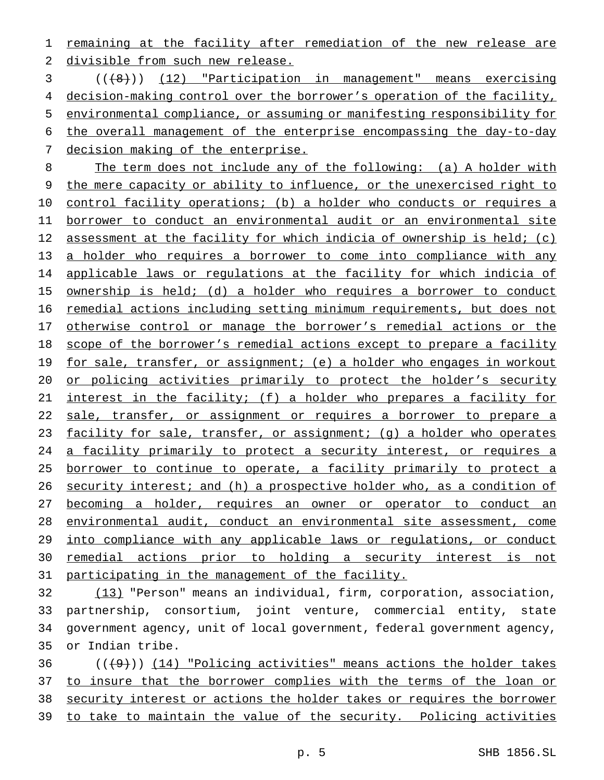1 remaining at the facility after remediation of the new release are 2 divisible from such new release.

 (((8))) (12) "Participation in management" means exercising decision-making control over the borrower's operation of the facility, environmental compliance, or assuming or manifesting responsibility for the overall management of the enterprise encompassing the day-to-day decision making of the enterprise.

8 The term does not include any of the following: (a) A holder with 9 the mere capacity or ability to influence, or the unexercised right to 10 control facility operations; (b) a holder who conducts or requires a 11 borrower to conduct an environmental audit or an environmental site 12 assessment at the facility for which indicia of ownership is held; (c) 13 a holder who requires a borrower to come into compliance with any 14 applicable laws or regulations at the facility for which indicia of 15 ownership is held; (d) a holder who requires a borrower to conduct 16 remedial actions including setting minimum requirements, but does not 17 otherwise control or manage the borrower's remedial actions or the 18 scope of the borrower's remedial actions except to prepare a facility 19 for sale, transfer, or assignment; (e) a holder who engages in workout 20 or policing activities primarily to protect the holder's security 21 interest in the facility; (f) a holder who prepares a facility for 22 sale, transfer, or assignment or requires a borrower to prepare a 23 facility for sale, transfer, or assignment; (g) a holder who operates 24 a facility primarily to protect a security interest, or requires a 25 borrower to continue to operate, a facility primarily to protect a 26 security interest; and (h) a prospective holder who, as a condition of 27 becoming a holder, requires an owner or operator to conduct an 28 environmental audit, conduct an environmental site assessment, come 29 into compliance with any applicable laws or regulations, or conduct 30 remedial actions prior to holding a security interest is not 31 participating in the management of the facility.

 (13) "Person" means an individual, firm, corporation, association, partnership, consortium, joint venture, commercial entity, state government agency, unit of local government, federal government agency, or Indian tribe.

 $((+9))$  (14) "Policing activities" means actions the holder takes 37 to insure that the borrower complies with the terms of the loan or security interest or actions the holder takes or requires the borrower to take to maintain the value of the security. Policing activities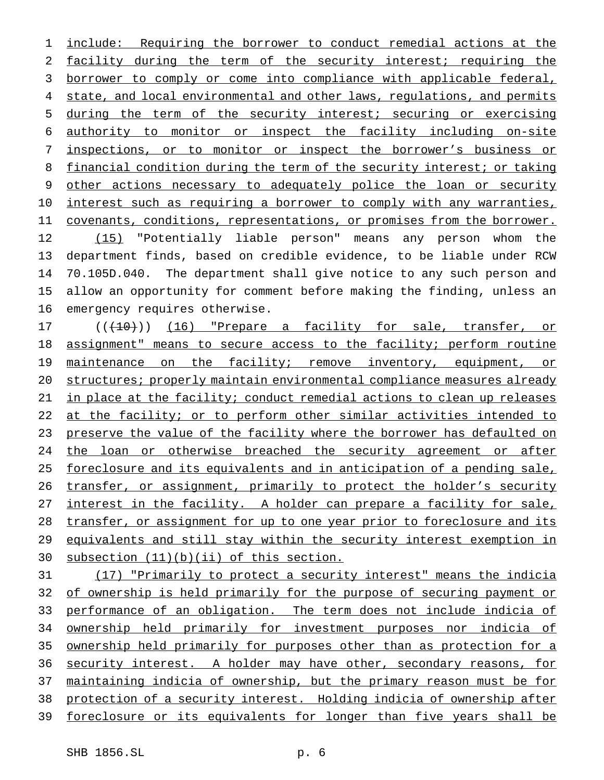include: Requiring the borrower to conduct remedial actions at the facility during the term of the security interest; requiring the borrower to comply or come into compliance with applicable federal, 4 state, and local environmental and other laws, regulations, and permits during the term of the security interest; securing or exercising authority to monitor or inspect the facility including on-site inspections, or to monitor or inspect the borrower's business or 8 financial condition during the term of the security interest; or taking other actions necessary to adequately police the loan or security interest such as requiring a borrower to comply with any warranties, 11 covenants, conditions, representations, or promises from the borrower. (15) "Potentially liable person" means any person whom the department finds, based on credible evidence, to be liable under RCW 70.105D.040. The department shall give notice to any such person and allow an opportunity for comment before making the finding, unless an emergency requires otherwise.

17 (((10))) (16) "Prepare a facility for sale, transfer, or assignment" means to secure access to the facility; perform routine 19 maintenance on the facility; remove inventory, equipment, or 20 structures; properly maintain environmental compliance measures already in place at the facility; conduct remedial actions to clean up releases 22 at the facility; or to perform other similar activities intended to 23 preserve the value of the facility where the borrower has defaulted on 24 the loan or otherwise breached the security agreement or after foreclosure and its equivalents and in anticipation of a pending sale, 26 transfer, or assignment, primarily to protect the holder's security 27 interest in the facility. A holder can prepare a facility for sale, transfer, or assignment for up to one year prior to foreclosure and its 29 equivalents and still stay within the security interest exemption in subsection (11)(b)(ii) of this section.

 (17) "Primarily to protect a security interest" means the indicia of ownership is held primarily for the purpose of securing payment or 33 performance of an obligation. The term does not include indicia of ownership held primarily for investment purposes nor indicia of ownership held primarily for purposes other than as protection for a security interest. A holder may have other, secondary reasons, for maintaining indicia of ownership, but the primary reason must be for protection of a security interest. Holding indicia of ownership after foreclosure or its equivalents for longer than five years shall be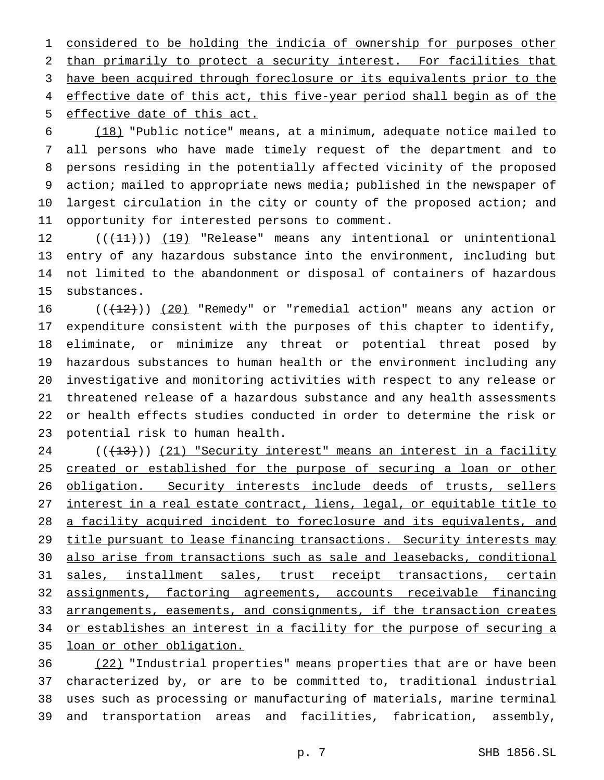considered to be holding the indicia of ownership for purposes other than primarily to protect a security interest. For facilities that have been acquired through foreclosure or its equivalents prior to the 4 effective date of this act, this five-year period shall begin as of the effective date of this act.

 (18) "Public notice" means, at a minimum, adequate notice mailed to all persons who have made timely request of the department and to persons residing in the potentially affected vicinity of the proposed action; mailed to appropriate news media; published in the newspaper of largest circulation in the city or county of the proposed action; and opportunity for interested persons to comment.

12 ((<del>(11)</del>)) (19) "Release" means any intentional or unintentional entry of any hazardous substance into the environment, including but not limited to the abandonment or disposal of containers of hazardous substances.

 $((+12))$  (20) "Remedy" or "remedial action" means any action or expenditure consistent with the purposes of this chapter to identify, eliminate, or minimize any threat or potential threat posed by hazardous substances to human health or the environment including any investigative and monitoring activities with respect to any release or threatened release of a hazardous substance and any health assessments or health effects studies conducted in order to determine the risk or potential risk to human health.

24 (( $(13)$ )) (21) "Security interest" means an interest in a facility 25 created or established for the purpose of securing a loan or other 26 obligation. Security interests include deeds of trusts, sellers interest in a real estate contract, liens, legal, or equitable title to a facility acquired incident to foreclosure and its equivalents, and 29 title pursuant to lease financing transactions. Security interests may also arise from transactions such as sale and leasebacks, conditional 31 sales, installment sales, trust receipt transactions, certain assignments, factoring agreements, accounts receivable financing 33 arrangements, easements, and consignments, if the transaction creates 34 or establishes an interest in a facility for the purpose of securing a loan or other obligation.

 (22) "Industrial properties" means properties that are or have been characterized by, or are to be committed to, traditional industrial uses such as processing or manufacturing of materials, marine terminal and transportation areas and facilities, fabrication, assembly,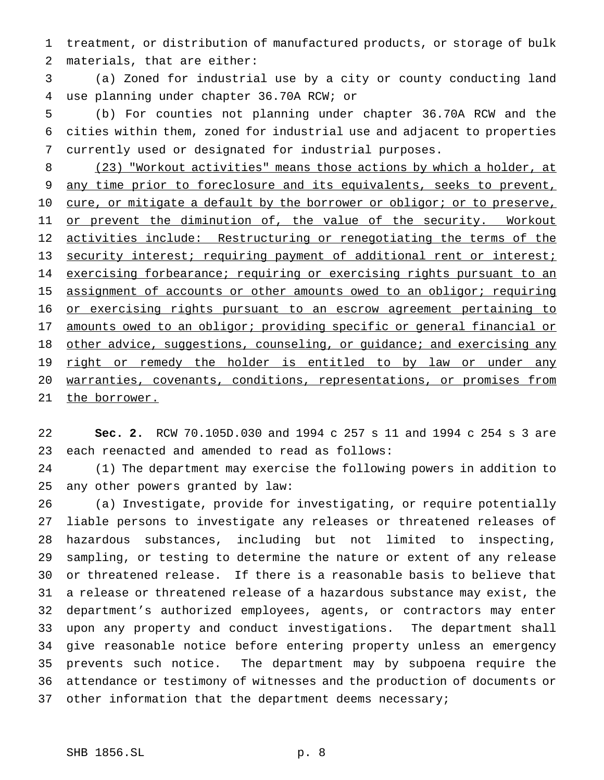treatment, or distribution of manufactured products, or storage of bulk materials, that are either:

 (a) Zoned for industrial use by a city or county conducting land use planning under chapter 36.70A RCW; or

 (b) For counties not planning under chapter 36.70A RCW and the cities within them, zoned for industrial use and adjacent to properties currently used or designated for industrial purposes.

8 (23) "Workout activities" means those actions by which a holder, at 9 any time prior to foreclosure and its equivalents, seeks to prevent, 10 cure, or mitigate a default by the borrower or obligor; or to preserve, 11 or prevent the diminution of, the value of the security. Workout 12 activities include: Restructuring or renegotiating the terms of the 13 security interest; requiring payment of additional rent or interest; 14 exercising forbearance; requiring or exercising rights pursuant to an 15 assignment of accounts or other amounts owed to an obligor; requiring 16 or exercising rights pursuant to an escrow agreement pertaining to 17 amounts owed to an obligor; providing specific or general financial or 18 other advice, suggestions, counseling, or guidance; and exercising any 19 right or remedy the holder is entitled to by law or under any warranties, covenants, conditions, representations, or promises from 21 the borrower.

 **Sec. 2.** RCW 70.105D.030 and 1994 c 257 s 11 and 1994 c 254 s 3 are each reenacted and amended to read as follows:

 (1) The department may exercise the following powers in addition to any other powers granted by law:

 (a) Investigate, provide for investigating, or require potentially liable persons to investigate any releases or threatened releases of hazardous substances, including but not limited to inspecting, sampling, or testing to determine the nature or extent of any release or threatened release. If there is a reasonable basis to believe that a release or threatened release of a hazardous substance may exist, the department's authorized employees, agents, or contractors may enter upon any property and conduct investigations. The department shall give reasonable notice before entering property unless an emergency prevents such notice. The department may by subpoena require the attendance or testimony of witnesses and the production of documents or 37 other information that the department deems necessary;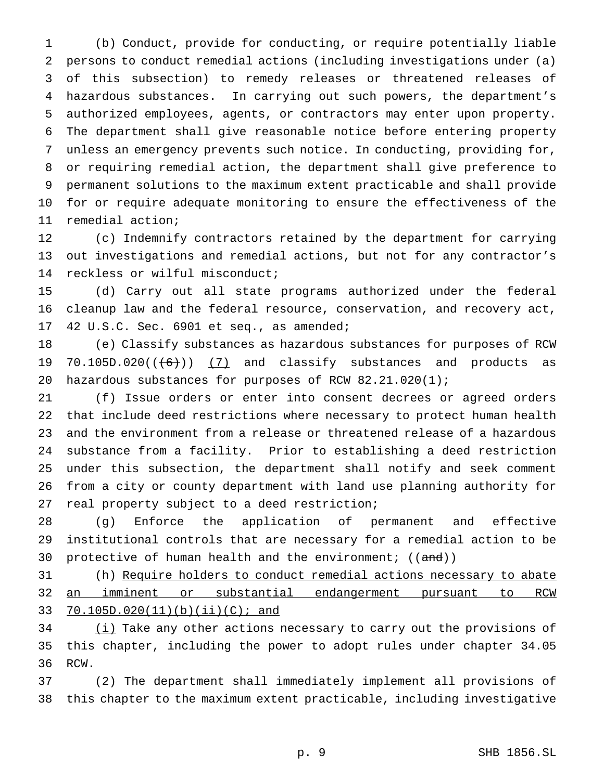(b) Conduct, provide for conducting, or require potentially liable persons to conduct remedial actions (including investigations under (a) of this subsection) to remedy releases or threatened releases of hazardous substances. In carrying out such powers, the department's authorized employees, agents, or contractors may enter upon property. The department shall give reasonable notice before entering property unless an emergency prevents such notice. In conducting, providing for, or requiring remedial action, the department shall give preference to permanent solutions to the maximum extent practicable and shall provide for or require adequate monitoring to ensure the effectiveness of the remedial action;

 (c) Indemnify contractors retained by the department for carrying out investigations and remedial actions, but not for any contractor's reckless or wilful misconduct;

 (d) Carry out all state programs authorized under the federal cleanup law and the federal resource, conservation, and recovery act, 42 U.S.C. Sec. 6901 et seq., as amended;

 (e) Classify substances as hazardous substances for purposes of RCW 19 70.105D.020( $(\frac{6}{1})$   $(7)$  and classify substances and products as hazardous substances for purposes of RCW 82.21.020(1);

 (f) Issue orders or enter into consent decrees or agreed orders that include deed restrictions where necessary to protect human health and the environment from a release or threatened release of a hazardous substance from a facility. Prior to establishing a deed restriction under this subsection, the department shall notify and seek comment from a city or county department with land use planning authority for real property subject to a deed restriction;

 (g) Enforce the application of permanent and effective institutional controls that are necessary for a remedial action to be 30 protective of human health and the environment;  $((and))$ 

 (h) Require holders to conduct remedial actions necessary to abate an imminent or substantial endangerment pursuant to RCW 70.105D.020(11)(b)(ii)(C); and

34 (i) Take any other actions necessary to carry out the provisions of this chapter, including the power to adopt rules under chapter 34.05 RCW.

 (2) The department shall immediately implement all provisions of this chapter to the maximum extent practicable, including investigative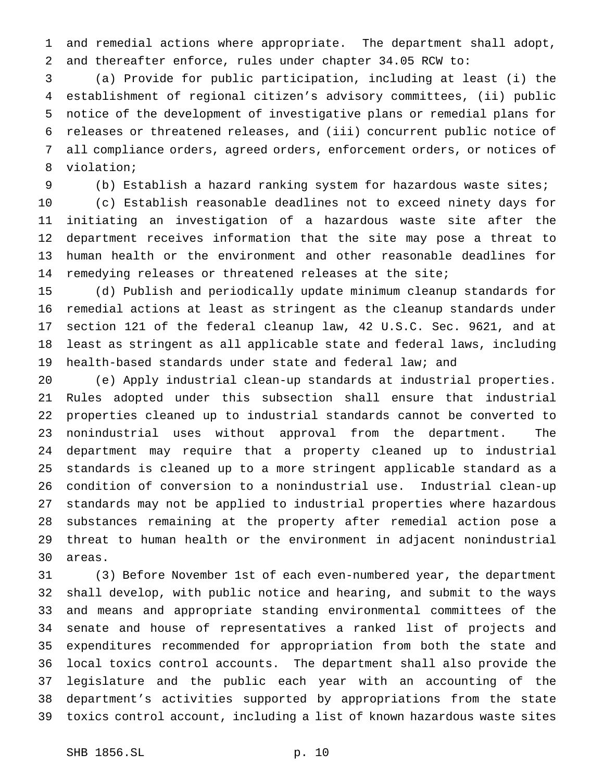and remedial actions where appropriate. The department shall adopt, and thereafter enforce, rules under chapter 34.05 RCW to:

 (a) Provide for public participation, including at least (i) the establishment of regional citizen's advisory committees, (ii) public notice of the development of investigative plans or remedial plans for releases or threatened releases, and (iii) concurrent public notice of all compliance orders, agreed orders, enforcement orders, or notices of violation;

(b) Establish a hazard ranking system for hazardous waste sites;

 (c) Establish reasonable deadlines not to exceed ninety days for initiating an investigation of a hazardous waste site after the department receives information that the site may pose a threat to human health or the environment and other reasonable deadlines for remedying releases or threatened releases at the site;

 (d) Publish and periodically update minimum cleanup standards for remedial actions at least as stringent as the cleanup standards under section 121 of the federal cleanup law, 42 U.S.C. Sec. 9621, and at least as stringent as all applicable state and federal laws, including health-based standards under state and federal law; and

 (e) Apply industrial clean-up standards at industrial properties. Rules adopted under this subsection shall ensure that industrial properties cleaned up to industrial standards cannot be converted to nonindustrial uses without approval from the department. The department may require that a property cleaned up to industrial standards is cleaned up to a more stringent applicable standard as a condition of conversion to a nonindustrial use. Industrial clean-up standards may not be applied to industrial properties where hazardous substances remaining at the property after remedial action pose a threat to human health or the environment in adjacent nonindustrial areas.

 (3) Before November 1st of each even-numbered year, the department shall develop, with public notice and hearing, and submit to the ways and means and appropriate standing environmental committees of the senate and house of representatives a ranked list of projects and expenditures recommended for appropriation from both the state and local toxics control accounts. The department shall also provide the legislature and the public each year with an accounting of the department's activities supported by appropriations from the state toxics control account, including a list of known hazardous waste sites